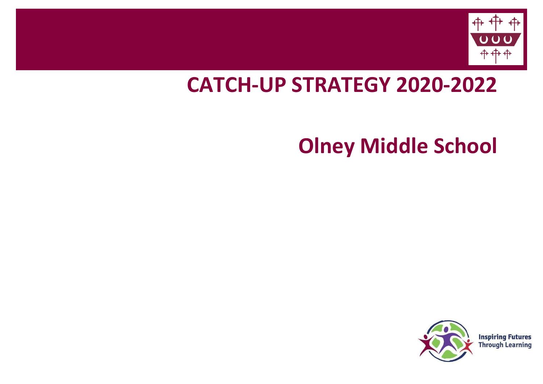

## **CATCH-UP STRATEGY 2020-2022**

# **Olney Middle School**



**Inspiring Futures Through Learning**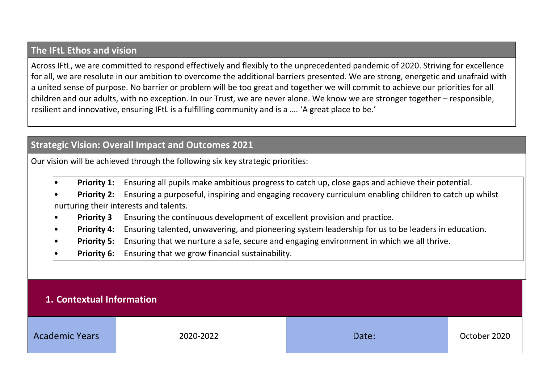#### **The IFtL Ethos and vision**

Across IFtL, we are committed to respond effectively and flexibly to the unprecedented pandemic of 2020. Striving for excellence for all, we are resolute in our ambition to overcome the additional barriers presented. We are strong, energetic and unafraid with a united sense of purpose. No barrier or problem will be too great and together we will commit to achieve our priorities for all children and our adults, with no exception. In our Trust, we are never alone. We know we are stronger together – responsible, resilient and innovative, ensuring IFtL is a fulfilling community and is a …. 'A great place to be.'

#### **Strategic Vision: Overall Impact and Outcomes 2021**

Our vision will be achieved through the following six key strategic priorities:

- **Priority 1:** Ensuring all pupils make ambitious progress to catch up, close gaps and achieve their potential.
- **Priority 2:** Ensuring a purposeful, inspiring and engaging recovery curriculum enabling children to catch up whilst nurturing their interests and talents.
- **Priority 3** Ensuring the continuous development of excellent provision and practice.
- **Priority 4:** Ensuring talented, unwavering, and pioneering system leadership for us to be leaders in education.
- **Priority 5:** Ensuring that we nurture a safe, secure and engaging environment in which we all thrive.
- **Priority 6:** Ensuring that we grow financial sustainability.

#### **1. Contextual Information**

| <b>Academic Years</b> | 2020-2022 | Date: | October 2020 |
|-----------------------|-----------|-------|--------------|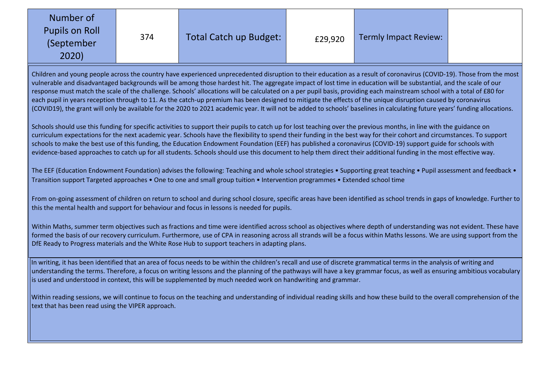| Number of<br><b>Pupils on Roll</b><br>(September<br>2020) |
|-----------------------------------------------------------|
|-----------------------------------------------------------|

Children and young people across the country have experienced unprecedented disruption to their education as a result of coronavirus (COVID-19). Those from the most vulnerable and disadvantaged backgrounds will be among those hardest hit. The aggregate impact of lost time in education will be substantial, and the scale of our response must match the scale of the challenge. Schools' allocations will be calculated on a per pupil basis, providing each mainstream school with a total of £80 for each pupil in years reception through to 11. As the catch-up premium has been designed to mitigate the effects of the unique disruption caused by coronavirus (COVID19), the grant will only be available for the 2020 to 2021 academic year. It will not be added to schools' baselines in calculating future years' funding allocations.

Schools should use this funding for specific activities to support their pupils to catch up for lost teaching over the previous months, in line with the guidance on curriculum expectations for the next academic year. Schools have the flexibility to spend their funding in the best way for their cohort and circumstances. To support schools to make the best use of this funding, the Education Endowment Foundation (EEF) has published a coronavirus (COVID-19) support guide for schools with evidence-based approaches to catch up for all students. Schools should use this document to help them direct their additional funding in the most effective way.

The EEF (Education Endowment Foundation) advises the following: Teaching and whole school strategies • Supporting great teaching • Pupil assessment and feedback • Transition support Targeted approaches • One to one and small group tuition • Intervention programmes • Extended school time

From on-going assessment of children on return to school and during school closure, specific areas have been identified as school trends in gaps of knowledge. Further to this the mental health and support for behaviour and focus in lessons is needed for pupils.

Within Maths, summer term objectives such as fractions and time were identified across school as objectives where depth of understanding was not evident. These have formed the basis of our recovery curriculum. Furthermore, use of CPA in reasoning across all strands will be a focus within Maths lessons. We are using support from the DfE Ready to Progress materials and the White Rose Hub to support teachers in adapting plans.

In writing, it has been identified that an area of focus needs to be within the children's recall and use of discrete grammatical terms in the analysis of writing and understanding the terms. Therefore, a focus on writing lessons and the planning of the pathways will have a key grammar focus, as well as ensuring ambitious vocabulary is used and understood in context, this will be supplemented by much needed work on handwriting and grammar.

Within reading sessions, we will continue to focus on the teaching and understanding of individual reading skills and how these build to the overall comprehension of the text that has been read using the VIPER approach.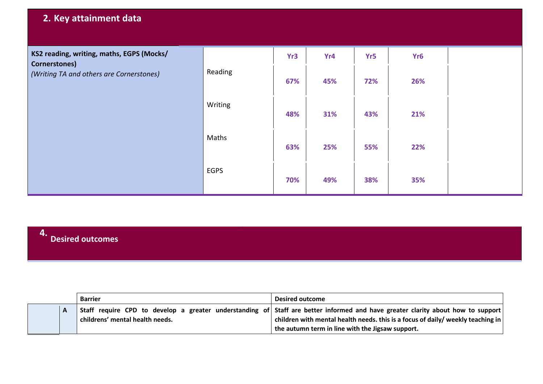### **2. Key attainment data**

| KS2 reading, writing, maths, EGPS (Mocks/<br>Cornerstones) |             | Yr3 | Yr4 | Yr5 | Yr <sub>6</sub> |  |
|------------------------------------------------------------|-------------|-----|-----|-----|-----------------|--|
| (Writing TA and others are Cornerstones)                   | Reading     | 67% | 45% | 72% | 26%             |  |
|                                                            | Writing     | 48% | 31% | 43% | 21%             |  |
|                                                            | Maths       | 63% | 25% | 55% | 22%             |  |
|                                                            | <b>EGPS</b> | 70% | 49% | 38% | 35%             |  |

### **4. Desired outcomes**

|  | <b>Barrier</b>                  | <b>Desired outcome</b>                                                                                                          |
|--|---------------------------------|---------------------------------------------------------------------------------------------------------------------------------|
|  |                                 | Staff require CPD to develop a greater understanding of Staff are better informed and have greater clarity about how to support |
|  | childrens' mental health needs. | children with mental health needs. this is a focus of daily/ weekly teaching in                                                 |
|  |                                 | the autumn term in line with the Jigsaw support.                                                                                |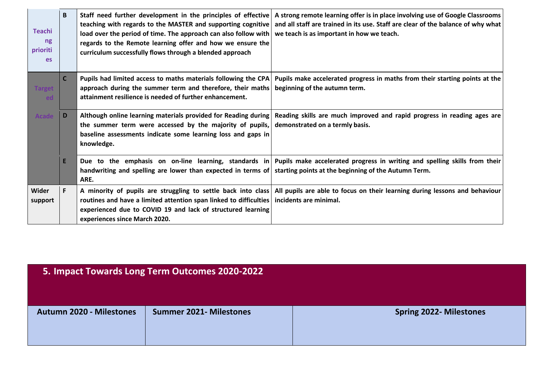| <b>Teachi</b><br>ng<br>prioriti<br><b>es</b> | B            | Staff need further development in the principles of effective<br>teaching with regards to the MASTER and supporting cognitive<br>load over the period of time. The approach can also follow with<br>regards to the Remote learning offer and how we ensure the<br>curriculum successfully flows through a blended approach | A strong remote learning offer is in place involving use of Google Classrooms<br>and all staff are trained in its use. Staff are clear of the balance of why what<br>we teach is as important in how we teach. |
|----------------------------------------------|--------------|----------------------------------------------------------------------------------------------------------------------------------------------------------------------------------------------------------------------------------------------------------------------------------------------------------------------------|----------------------------------------------------------------------------------------------------------------------------------------------------------------------------------------------------------------|
| <b>Target</b><br>ed                          | $\mathsf{C}$ | Pupils had limited access to maths materials following the CPA<br>approach during the summer term and therefore, their maths<br>attainment resilience is needed of further enhancement.                                                                                                                                    | Pupils make accelerated progress in maths from their starting points at the<br>beginning of the autumn term.                                                                                                   |
| Acade                                        | D.           | Although online learning materials provided for Reading during<br>the summer term were accessed by the majority of pupils,<br>baseline assessments indicate some learning loss and gaps in<br>knowledge.                                                                                                                   | Reading skills are much improved and rapid progress in reading ages are<br>demonstrated on a termly basis.                                                                                                     |
|                                              | E.           | Due to the emphasis on on-line learning, standards in<br>handwriting and spelling are lower than expected in terms of<br>ARE.                                                                                                                                                                                              | Pupils make accelerated progress in writing and spelling skills from their<br>starting points at the beginning of the Autumn Term.                                                                             |
| Wider<br>support                             | F.           | routines and have a limited attention span linked to difficulties<br>experienced due to COVID 19 and lack of structured learning<br>experiences since March 2020.                                                                                                                                                          | A minority of pupils are struggling to settle back into class All pupils are able to focus on their learning during lessons and behaviour<br>incidents are minimal.                                            |

| 5. Impact Towards Long Term Outcomes 2020-2022 |                               |                               |  |  |  |  |
|------------------------------------------------|-------------------------------|-------------------------------|--|--|--|--|
| <b>Autumn 2020 - Milestones</b>                | <b>Summer 2021-Milestones</b> | <b>Spring 2022-Milestones</b> |  |  |  |  |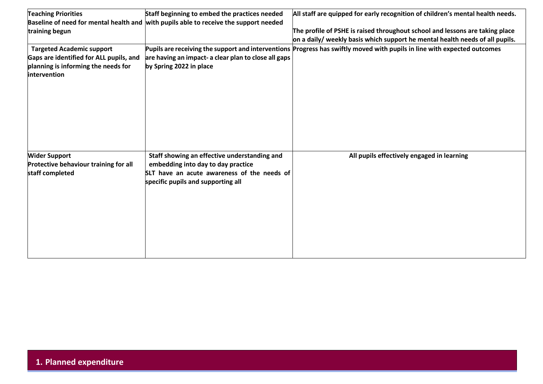| <b>Teaching Priorities</b>                                                                                                                 | Staff beginning to embed the practices needed                                                                                                                           | All staff are quipped for early recognition of children's mental health needs.                                           |
|--------------------------------------------------------------------------------------------------------------------------------------------|-------------------------------------------------------------------------------------------------------------------------------------------------------------------------|--------------------------------------------------------------------------------------------------------------------------|
|                                                                                                                                            | Baseline of need for mental health and with pupils able to receive the support needed                                                                                   |                                                                                                                          |
| training begun                                                                                                                             |                                                                                                                                                                         | The profile of PSHE is raised throughout school and lessons are taking place                                             |
|                                                                                                                                            |                                                                                                                                                                         | on a daily/ weekly basis which support he mental health needs of all pupils.                                             |
| <b>Targeted Academic support</b><br>Gaps are identified for ALL pupils, and<br>planning is informing the needs for<br><b>lintervention</b> | are having an impact- a clear plan to close all gaps<br>by Spring 2022 in place                                                                                         | Pupils are receiving the support and interventions Progress has swiftly moved with pupils in line with expected outcomes |
| <b>Wider Support</b><br>Protective behaviour training for all<br>staff completed                                                           | Staff showing an effective understanding and<br>embedding into day to day practice<br>SLT have an acute awareness of the needs of<br>specific pupils and supporting all | All pupils effectively engaged in learning                                                                               |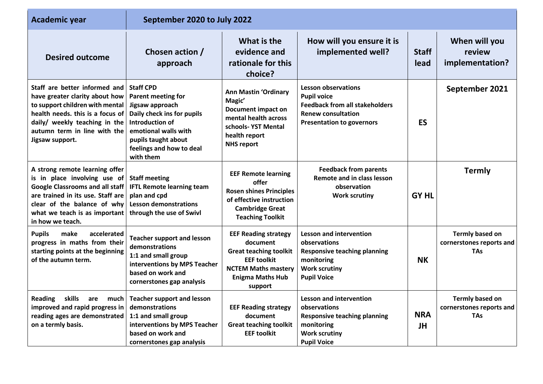| <b>Academic year</b>                                                                                                                                                                                                              | September 2020 to July 2022                                                                                                                                                                        |                                                                                                                                                                    |                                                                                                                                                            |                         |                                                                  |
|-----------------------------------------------------------------------------------------------------------------------------------------------------------------------------------------------------------------------------------|----------------------------------------------------------------------------------------------------------------------------------------------------------------------------------------------------|--------------------------------------------------------------------------------------------------------------------------------------------------------------------|------------------------------------------------------------------------------------------------------------------------------------------------------------|-------------------------|------------------------------------------------------------------|
| <b>Desired outcome</b>                                                                                                                                                                                                            | Chosen action /<br>approach                                                                                                                                                                        | What is the<br>evidence and<br>rationale for this<br>choice?                                                                                                       | How will you ensure it is<br>implemented well?                                                                                                             | <b>Staff</b><br>lead    | When will you<br>review<br>implementation?                       |
| Staff are better informed and<br>have greater clarity about how<br>to support children with mental<br>health needs. this is a focus of<br>daily/ weekly teaching in the<br>autumn term in line with the<br>Jigsaw support.        | <b>Staff CPD</b><br>Parent meeting for<br>Jigsaw approach<br>Daily check ins for pupils<br>Introduction of<br>emotional walls with<br>pupils taught about<br>feelings and how to deal<br>with them | <b>Ann Mastin 'Ordinary</b><br>Magic'<br><b>Document impact on</b><br>mental health across<br>schools-YST Mental<br>health report<br><b>NHS report</b>             | <b>Lesson observations</b><br><b>Pupil voice</b><br><b>Feedback from all stakeholders</b><br><b>Renew consultation</b><br><b>Presentation to governors</b> | <b>ES</b>               | September 2021                                                   |
| A strong remote learning offer<br>is in place involving use of<br><b>Google Classrooms and all staff</b><br>are trained in its use. Staff are<br>clear of the balance of why<br>what we teach is as important<br>in how we teach. | <b>Staff meeting</b><br><b>IFTL Remote learning team</b><br>plan and cpd<br><b>Lesson demonstrations</b><br>through the use of Swivl                                                               | <b>EEF Remote learning</b><br>offer<br><b>Rosen shines Principles</b><br>of effective instruction<br><b>Cambridge Great</b><br><b>Teaching Toolkit</b>             | <b>Feedback from parents</b><br><b>Remote and in class lesson</b><br>observation<br><b>Work scrutiny</b>                                                   | <b>GY HL</b>            | <b>Termly</b>                                                    |
| <b>Pupils</b><br>make<br>accelerated<br>progress in maths from their<br>starting points at the beginning<br>of the autumn term.                                                                                                   | <b>Teacher support and lesson</b><br>demonstrations<br>1:1 and small group<br>interventions by MPS Teacher<br>based on work and<br>cornerstones gap analysis                                       | <b>EEF Reading strategy</b><br>document<br><b>Great teaching toolkit</b><br><b>EEF toolkit</b><br><b>NCTEM Maths mastery</b><br><b>Enigma Maths Hub</b><br>support | <b>Lesson and intervention</b><br>observations<br><b>Responsive teaching planning</b><br>monitoring<br><b>Work scrutiny</b><br><b>Pupil Voice</b>          | <b>NK</b>               | <b>Termly based on</b><br>cornerstones reports and<br><b>TAs</b> |
| <b>Reading</b><br>skills<br>are<br>much<br>improved and rapid progress in<br>reading ages are demonstrated<br>on a termly basis.                                                                                                  | <b>Teacher support and lesson</b><br>demonstrations<br>1:1 and small group<br>interventions by MPS Teacher<br>based on work and<br>cornerstones gap analysis                                       | <b>EEF Reading strategy</b><br>document<br><b>Great teaching toolkit</b><br><b>EEF toolkit</b>                                                                     | <b>Lesson and intervention</b><br>observations<br><b>Responsive teaching planning</b><br>monitoring<br><b>Work scrutiny</b><br><b>Pupil Voice</b>          | <b>NRA</b><br><b>JH</b> | <b>Termly based on</b><br>cornerstones reports and<br><b>TAs</b> |